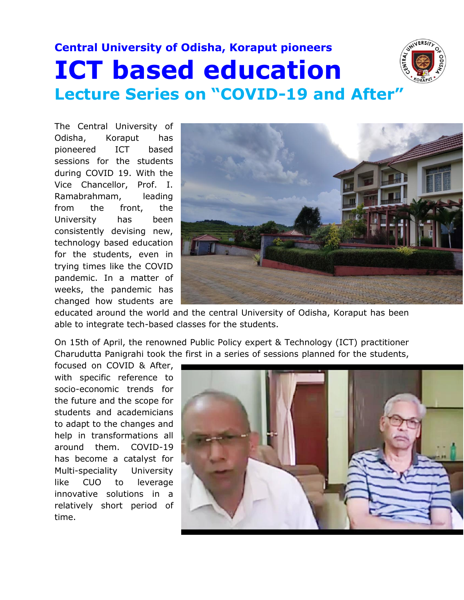## **Central University of Odisha, Koraput pioneers ICT based education Lecture Series on "COVID-19 and After"**



The Central University of Odisha, Koraput has pioneered ICT based sessions for the students during COVID 19. With the Vice Chancellor, Prof. I. Ramabrahmam, leading from the front, the University has been consistently devising new, technology based education for the students, even in trying times like the COVID pandemic. In a matter of weeks, the pandemic has changed how students are



educated around the world and the central University of Odisha, Koraput has been able to integrate tech-based classes for the students.

On 15th of April, the renowned Public Policy expert & Technology (ICT) practitioner Charudutta Panigrahi took the first in a series of sessions planned for the students,

focused on COVID & After, with specific reference to socio-economic trends for the future and the scope for students and academicians to adapt to the changes and help in transformations all around them. COVID-19 has become a catalyst for Multi-speciality University like CUO to leverage innovative solutions in a relatively short period of time.